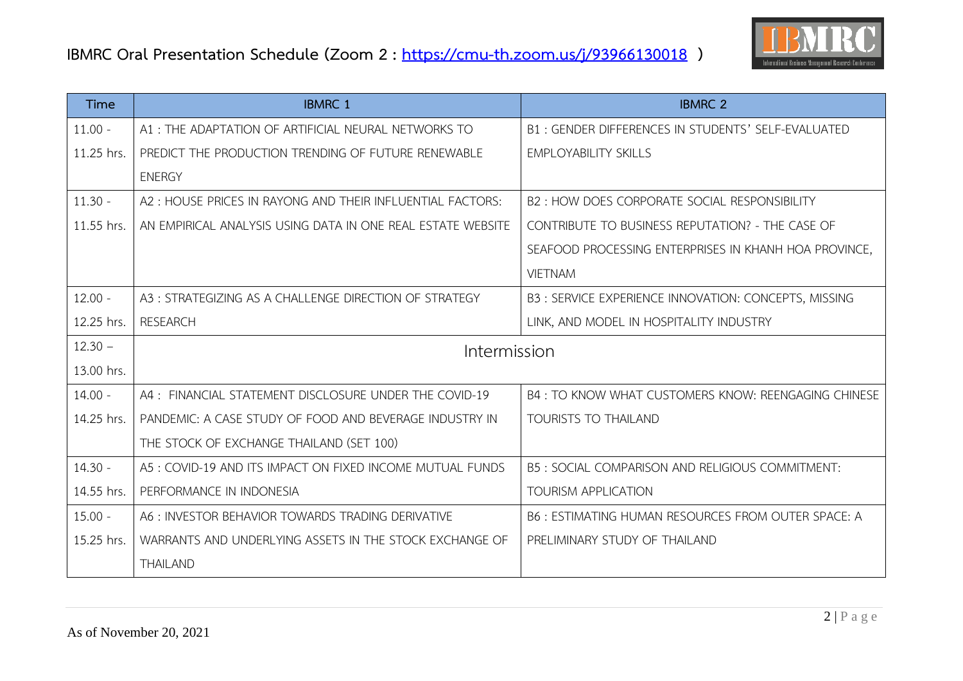

| Time       | <b>IBMRC 1</b>                                              | <b>IBMRC 2</b>                                        |
|------------|-------------------------------------------------------------|-------------------------------------------------------|
| $11.00 -$  | A1: THE ADAPTATION OF ARTIFICIAL NEURAL NETWORKS TO         | B1: GENDER DIFFERENCES IN STUDENTS' SELF-EVALUATED    |
| 11.25 hrs. | PREDICT THE PRODUCTION TRENDING OF FUTURE RENEWABLE         | <b>EMPLOYABILITY SKILLS</b>                           |
|            | <b>ENERGY</b>                                               |                                                       |
| $11.30 -$  | A2: HOUSE PRICES IN RAYONG AND THEIR INFLUENTIAL FACTORS:   | B2: HOW DOES CORPORATE SOCIAL RESPONSIBILITY          |
| 11.55 hrs. | AN EMPIRICAL ANALYSIS USING DATA IN ONE REAL ESTATE WEBSITE | CONTRIBUTE TO BUSINESS REPUTATION? - THE CASE OF      |
|            |                                                             | SEAFOOD PROCESSING ENTERPRISES IN KHANH HOA PROVINCE, |
|            |                                                             | <b>VIETNAM</b>                                        |
| $12.00 -$  | A3: STRATEGIZING AS A CHALLENGE DIRECTION OF STRATEGY       | B3: SERVICE EXPERIENCE INNOVATION: CONCEPTS, MISSING  |
| 12.25 hrs. | <b>RESEARCH</b>                                             | LINK, AND MODEL IN HOSPITALITY INDUSTRY               |
| $12.30 -$  | Intermission                                                |                                                       |
| 13.00 hrs. |                                                             |                                                       |
| $14.00 -$  | A4: FINANCIAL STATEMENT DISCLOSURE UNDER THE COVID-19       | B4: TO KNOW WHAT CUSTOMERS KNOW: REENGAGING CHINESE   |
| 14.25 hrs. | PANDEMIC: A CASE STUDY OF FOOD AND BEVERAGE INDUSTRY IN     | <b>TOURISTS TO THAILAND</b>                           |
|            | THE STOCK OF EXCHANGE THAILAND (SET 100)                    |                                                       |
| $14.30 -$  | A5: COVID-19 AND ITS IMPACT ON FIXED INCOME MUTUAL FUNDS    | B5: SOCIAL COMPARISON AND RELIGIOUS COMMITMENT:       |
| 14.55 hrs. | PERFORMANCE IN INDONESIA                                    | <b>TOURISM APPLICATION</b>                            |
| $15.00 -$  | A6: INVESTOR BEHAVIOR TOWARDS TRADING DERIVATIVE            | B6 : ESTIMATING HUMAN RESOURCES FROM OUTER SPACE: A   |
| 15.25 hrs. | WARRANTS AND UNDERLYING ASSETS IN THE STOCK EXCHANGE OF     | PRELIMINARY STUDY OF THAILAND                         |
|            | <b>THAILAND</b>                                             |                                                       |